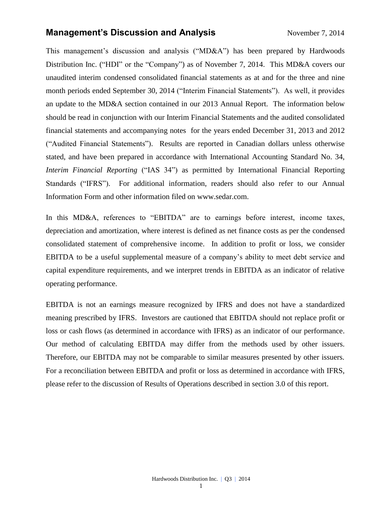## **Management's Discussion and Analysis** November 7, 2014

This management's discussion and analysis ("MD&A") has been prepared by Hardwoods Distribution Inc. ("HDI" or the "Company") as of November 7, 2014. This MD&A covers our unaudited interim condensed consolidated financial statements as at and for the three and nine month periods ended September 30, 2014 ("Interim Financial Statements"). As well, it provides an update to the MD&A section contained in our 2013 Annual Report. The information below should be read in conjunction with our Interim Financial Statements and the audited consolidated financial statements and accompanying notes for the years ended December 31, 2013 and 2012 ("Audited Financial Statements"). Results are reported in Canadian dollars unless otherwise stated, and have been prepared in accordance with International Accounting Standard No. 34, *Interim Financial Reporting* ("IAS 34") as permitted by International Financial Reporting Standards ("IFRS"). For additional information, readers should also refer to our Annual Information Form and other information filed on [www.sedar.com.](http://www.sedar.com/)

In this MD&A, references to "EBITDA" are to earnings before interest, income taxes, depreciation and amortization, where interest is defined as net finance costs as per the condensed consolidated statement of comprehensive income. In addition to profit or loss, we consider EBITDA to be a useful supplemental measure of a company's ability to meet debt service and capital expenditure requirements, and we interpret trends in EBITDA as an indicator of relative operating performance.

EBITDA is not an earnings measure recognized by IFRS and does not have a standardized meaning prescribed by IFRS. Investors are cautioned that EBITDA should not replace profit or loss or cash flows (as determined in accordance with IFRS) as an indicator of our performance. Our method of calculating EBITDA may differ from the methods used by other issuers. Therefore, our EBITDA may not be comparable to similar measures presented by other issuers. For a reconciliation between EBITDA and profit or loss as determined in accordance with IFRS, please refer to the discussion of Results of Operations described in section 3.0 of this report.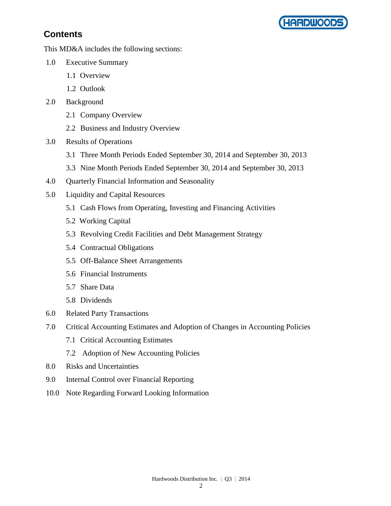

# **Contents**

This MD&A includes the following sections:

- 1.0 Executive Summary
	- 1.1 Overview
	- 1.2 Outlook
- 2.0 Background
	- 2.1 Company Overview
	- 2.2 Business and Industry Overview
- 3.0 Results of Operations
	- 3.1 Three Month Periods Ended September 30, 2014 and September 30, 2013
	- 3.3 Nine Month Periods Ended September 30, 2014 and September 30, 2013
- 4.0 Quarterly Financial Information and Seasonality
- 5.0 Liquidity and Capital Resources
	- 5.1 Cash Flows from Operating, Investing and Financing Activities
	- 5.2 Working Capital
	- 5.3 Revolving Credit Facilities and Debt Management Strategy
	- 5.4 Contractual Obligations
	- 5.5 Off-Balance Sheet Arrangements
	- 5.6 Financial Instruments
	- 5.7 Share Data
	- 5.8 Dividends
- 6.0 Related Party Transactions
- 7.0 Critical Accounting Estimates and Adoption of Changes in Accounting Policies
	- 7.1 Critical Accounting Estimates
	- 7.2 Adoption of New Accounting Policies
- 8.0 Risks and Uncertainties
- 9.0 Internal Control over Financial Reporting
- 10.0 Note Regarding Forward Looking Information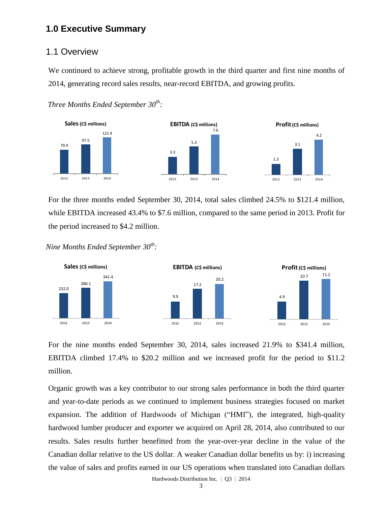## **1.0 Executive Summary**

### 1.1 Overview

We continued to achieve strong, profitable growth in the third quarter and first nine months of 2014, generating record sales results, near-record EBITDA, and growing profits.





For the three months ended September 30, 2014, total sales climbed 24.5% to \$121.4 million, while EBITDA increased 43.4% to \$7.6 million, compared to the same period in 2013. Profit for the period increased to \$4.2 million.

*Nine Months Ended September 30th :*



For the nine months ended September 30, 2014, sales increased 21.9% to \$341.4 million, EBITDA climbed 17.4% to \$20.2 million and we increased profit for the period to \$11.2 million.

Organic growth was a key contributor to our strong sales performance in both the third quarter and year-to-date periods as we continued to implement business strategies focused on market expansion. The addition of Hardwoods of Michigan ("HMI"), the integrated, high-quality hardwood lumber producer and exporter we acquired on April 28, 2014, also contributed to our results. Sales results further benefitted from the year-over-year decline in the value of the Canadian dollar relative to the US dollar. A weaker Canadian dollar benefits us by: i) increasing the value of sales and profits earned in our US operations when translated into Canadian dollars

Hardwoods Distribution Inc. | Q3 | 2014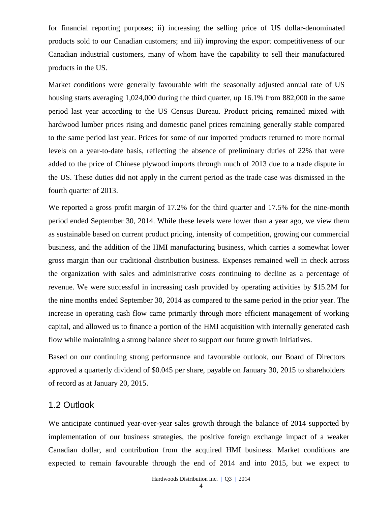for financial reporting purposes; ii) increasing the selling price of US dollar-denominated products sold to our Canadian customers; and iii) improving the export competitiveness of our Canadian industrial customers, many of whom have the capability to sell their manufactured products in the US.

Market conditions were generally favourable with the seasonally adjusted annual rate of US housing starts averaging 1,024,000 during the third quarter, up 16.1% from 882,000 in the same period last year according to the US Census Bureau. Product pricing remained mixed with hardwood lumber prices rising and domestic panel prices remaining generally stable compared to the same period last year. Prices for some of our imported products returned to more normal levels on a year-to-date basis, reflecting the absence of preliminary duties of 22% that were added to the price of Chinese plywood imports through much of 2013 due to a trade dispute in the US. These duties did not apply in the current period as the trade case was dismissed in the fourth quarter of 2013.

We reported a gross profit margin of 17.2% for the third quarter and 17.5% for the nine-month period ended September 30, 2014. While these levels were lower than a year ago, we view them as sustainable based on current product pricing, intensity of competition, growing our commercial business, and the addition of the HMI manufacturing business, which carries a somewhat lower gross margin than our traditional distribution business. Expenses remained well in check across the organization with sales and administrative costs continuing to decline as a percentage of revenue. We were successful in increasing cash provided by operating activities by \$15.2M for the nine months ended September 30, 2014 as compared to the same period in the prior year. The increase in operating cash flow came primarily through more efficient management of working capital, and allowed us to finance a portion of the HMI acquisition with internally generated cash flow while maintaining a strong balance sheet to support our future growth initiatives.

Based on our continuing strong performance and favourable outlook, our Board of Directors approved a quarterly dividend of \$0.045 per share, payable on January 30, 2015 to shareholders of record as at January 20, 2015.

## 1.2 Outlook

We anticipate continued year-over-year sales growth through the balance of 2014 supported by implementation of our business strategies, the positive foreign exchange impact of a weaker Canadian dollar, and contribution from the acquired HMI business. Market conditions are expected to remain favourable through the end of 2014 and into 2015, but we expect to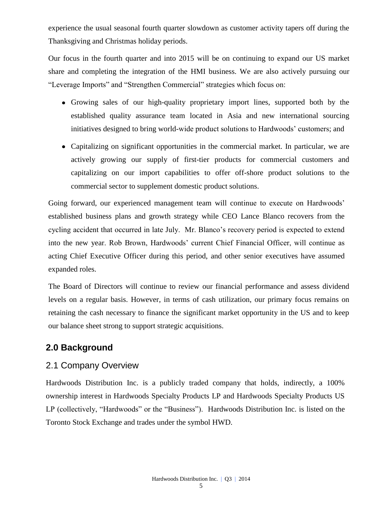experience the usual seasonal fourth quarter slowdown as customer activity tapers off during the Thanksgiving and Christmas holiday periods.

Our focus in the fourth quarter and into 2015 will be on continuing to expand our US market share and completing the integration of the HMI business. We are also actively pursuing our "Leverage Imports" and "Strengthen Commercial" strategies which focus on:

- Growing sales of our high-quality proprietary import lines, supported both by the established quality assurance team located in Asia and new international sourcing initiatives designed to bring world-wide product solutions to Hardwoods' customers; and
- Capitalizing on significant opportunities in the commercial market. In particular, we are actively growing our supply of first-tier products for commercial customers and capitalizing on our import capabilities to offer off-shore product solutions to the commercial sector to supplement domestic product solutions.

Going forward, our experienced management team will continue to execute on Hardwoods' established business plans and growth strategy while CEO Lance Blanco recovers from the cycling accident that occurred in late July. Mr. Blanco's recovery period is expected to extend into the new year. Rob Brown, Hardwoods' current Chief Financial Officer, will continue as acting Chief Executive Officer during this period, and other senior executives have assumed expanded roles.

The Board of Directors will continue to review our financial performance and assess dividend levels on a regular basis. However, in terms of cash utilization, our primary focus remains on retaining the cash necessary to finance the significant market opportunity in the US and to keep our balance sheet strong to support strategic acquisitions.

# **2.0 Background**

## 2.1 Company Overview

Hardwoods Distribution Inc. is a publicly traded company that holds, indirectly, a 100% ownership interest in Hardwoods Specialty Products LP and Hardwoods Specialty Products US LP (collectively, "Hardwoods" or the "Business"). Hardwoods Distribution Inc. is listed on the [Toronto Stock Exchange and trades under the symbol](http://tmx.quotemedia.com/quote.php?qm_symbol=TPK&locale=EN) HWD.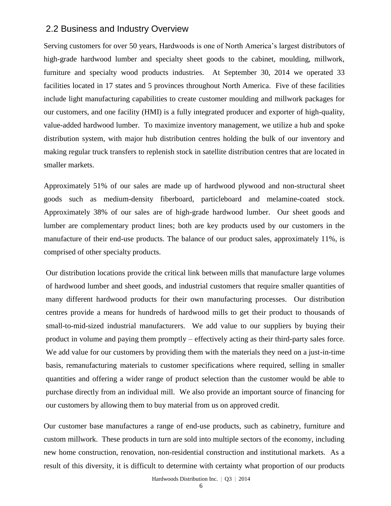## 2.2 Business and Industry Overview

Serving customers for over 50 years, Hardwoods is one of North America's largest distributors of high-grade hardwood lumber and specialty sheet goods to the cabinet, moulding, millwork, furniture and specialty wood products industries. At September 30, 2014 we operated 33 facilities located in 17 states and 5 provinces throughout North America. Five of these facilities include light manufacturing capabilities to create customer moulding and millwork packages for our customers, and one facility (HMI) is a fully integrated producer and exporter of high-quality, value-added hardwood lumber. To maximize inventory management, we utilize a hub and spoke distribution system, with major hub distribution centres holding the bulk of our inventory and making regular truck transfers to replenish stock in satellite distribution centres that are located in smaller markets.

Approximately 51% of our sales are made up of hardwood plywood and non-structural sheet goods such as medium-density fiberboard, particleboard and melamine-coated stock. Approximately 38% of our sales are of high-grade hardwood lumber. Our sheet goods and lumber are complementary product lines; both are key products used by our customers in the manufacture of their end-use products. The balance of our product sales, approximately 11%, is comprised of other specialty products.

Our distribution locations provide the critical link between mills that manufacture large volumes of hardwood lumber and sheet goods, and industrial customers that require smaller quantities of many different hardwood products for their own manufacturing processes. Our distribution centres provide a means for hundreds of hardwood mills to get their product to thousands of small-to-mid-sized industrial manufacturers. We add value to our suppliers by buying their product in volume and paying them promptly – effectively acting as their third-party sales force. We add value for our customers by providing them with the materials they need on a just-in-time basis, remanufacturing materials to customer specifications where required, selling in smaller quantities and offering a wider range of product selection than the customer would be able to purchase directly from an individual mill. We also provide an important source of financing for our customers by allowing them to buy material from us on approved credit.

Our customer base manufactures a range of end-use products, such as cabinetry, furniture and custom millwork. These products in turn are sold into multiple sectors of the economy, including new home construction, renovation, non-residential construction and institutional markets. As a result of this diversity, it is difficult to determine with certainty what proportion of our products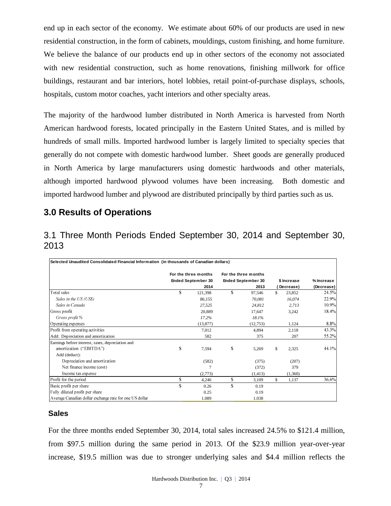end up in each sector of the economy. We estimate about 60% of our products are used in new residential construction, in the form of cabinets, mouldings, custom finishing, and home furniture. We believe the balance of our products end up in other sectors of the economy not associated with new residential construction, such as home renovations, finishing millwork for office buildings, restaurant and bar interiors, hotel lobbies, retail point-of-purchase displays, schools, hospitals, custom motor coaches, yacht interiors and other specialty areas.

The majority of the hardwood lumber distributed in North America is harvested from North American hardwood forests, located principally in the Eastern United States, and is milled by hundreds of small mills. Imported hardwood lumber is largely limited to specialty species that generally do not compete with domestic hardwood lumber. Sheet goods are generally produced in North America by large manufacturers using domestic hardwoods and other materials, although imported hardwood plywood volumes have been increasing. Both domestic and imported hardwood lumber and plywood are distributed principally by third parties such as us.

# **3.0 Results of Operations**

3.1 Three Month Periods Ended September 30, 2014 and September 30, 2013

| Selected Unaudited Consolidated Financial Information (in thousands of Canadian dollars) |                           |                           |             |           |            |
|------------------------------------------------------------------------------------------|---------------------------|---------------------------|-------------|-----------|------------|
|                                                                                          | For the three months      | For the three months      |             |           |            |
|                                                                                          | <b>Ended September 30</b> | <b>Ended September 30</b> | \$ Increase |           | % Increase |
|                                                                                          | 2014                      | 2013                      |             | Decrease) | (Decrease) |
| Total sales                                                                              | \$<br>121,398             | \$<br>97,546              | \$          | 23,852    | 24.5%      |
| Sales in the US (US\$)                                                                   | 86,155                    | 70.081                    |             | 16,074    | 22.9%      |
| Sales in Canada                                                                          | 27,525                    | 24.812                    |             | 2,713     | 10.9%      |
| Gross profit                                                                             | 20.889                    | 17.647                    |             | 3,242     | 18.4%      |
| Gross profit %                                                                           | 17.2%                     | 18.1%                     |             |           |            |
| Operating expenses                                                                       | (13, 877)                 | (12,753)                  |             | 1,124     | 8.8%       |
| Profit from operating activities                                                         | 7,012                     | 4,894                     |             | 2,118     | 43.3%      |
| Add: Depreciation and amortization                                                       | 582                       | 375                       |             | 207       | 55.2%      |
| Earnings before interest, taxes, depreciation and                                        |                           |                           |             |           |            |
| amortization ("EBITDA")                                                                  | \$<br>7,594               | \$<br>5,269               | \$          | 2,325     | 44.1%      |
| Add (deduct):                                                                            |                           |                           |             |           |            |
| Depreciation and amortization                                                            | (582)                     | (375)                     |             | (207)     |            |
| Net finance income (cost)                                                                |                           | (372)                     |             | 379       |            |
| Income tax expense                                                                       | (2,773)                   | (1, 413)                  |             | (1,360)   |            |
| Profit for the period                                                                    | \$<br>4,246               | \$<br>3,109               | \$          | 1,137     | 36.6%      |
| Basic profit per share                                                                   | \$<br>0.26                | \$<br>0.19                |             |           |            |
| Fully diluted profit per share                                                           | 0.25                      | 0.19                      |             |           |            |
| Average Canadian dollar exchange rate for one US dollar                                  | 1.089                     | 1.038                     |             |           |            |

### **Sales**

For the three months ended September 30, 2014, total sales increased 24.5% to \$121.4 million, from \$97.5 million during the same period in 2013. Of the \$23.9 million year-over-year increase, \$19.5 million was due to stronger underlying sales and \$4.4 million reflects the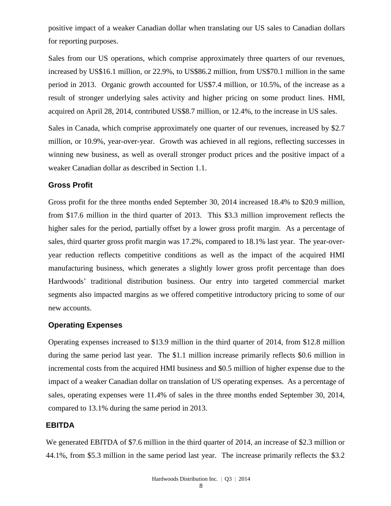positive impact of a weaker Canadian dollar when translating our US sales to Canadian dollars for reporting purposes.

Sales from our US operations, which comprise approximately three quarters of our revenues, increased by US\$16.1 million, or 22.9%, to US\$86.2 million, from US\$70.1 million in the same period in 2013. Organic growth accounted for US\$7.4 million, or 10.5%, of the increase as a result of stronger underlying sales activity and higher pricing on some product lines. HMI, acquired on April 28, 2014, contributed US\$8.7 million, or 12.4%, to the increase in US sales.

Sales in Canada, which comprise approximately one quarter of our revenues, increased by \$2.7 million, or 10.9%, year-over-year. Growth was achieved in all regions, reflecting successes in winning new business, as well as overall stronger product prices and the positive impact of a weaker Canadian dollar as described in Section 1.1.

### **Gross Profit**

Gross profit for the three months ended September 30, 2014 increased 18.4% to \$20.9 million, from \$17.6 million in the third quarter of 2013. This \$3.3 million improvement reflects the higher sales for the period, partially offset by a lower gross profit margin. As a percentage of sales, third quarter gross profit margin was 17.2%, compared to 18.1% last year. The year-overyear reduction reflects competitive conditions as well as the impact of the acquired HMI manufacturing business, which generates a slightly lower gross profit percentage than does Hardwoods' traditional distribution business. Our entry into targeted commercial market segments also impacted margins as we offered competitive introductory pricing to some of our new accounts.

#### **Operating Expenses**

Operating expenses increased to \$13.9 million in the third quarter of 2014, from \$12.8 million during the same period last year. The \$1.1 million increase primarily reflects \$0.6 million in incremental costs from the acquired HMI business and \$0.5 million of higher expense due to the impact of a weaker Canadian dollar on translation of US operating expenses. As a percentage of sales, operating expenses were 11.4% of sales in the three months ended September 30, 2014, compared to 13.1% during the same period in 2013.

### **EBITDA**

We generated EBITDA of \$7.6 million in the third quarter of 2014, an increase of \$2.3 million or 44.1%, from \$5.3 million in the same period last year. The increase primarily reflects the \$3.2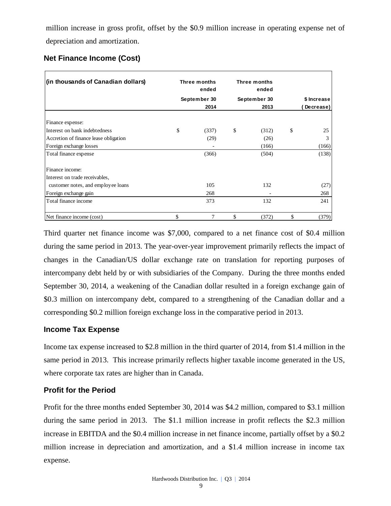million increase in gross profit, offset by the \$0.9 million increase in operating expense net of depreciation and amortization.

## **Net Finance Income (Cost)**

| (in thousands of Canadian dollars)    | Three months<br>ended |                | Three months<br>ended |             |
|---------------------------------------|-----------------------|----------------|-----------------------|-------------|
|                                       |                       | September 30   | September 30          | \$ Increase |
|                                       |                       | 2014           | 2013                  | Decrease)   |
| Finance expense:                      |                       |                |                       |             |
| Interest on bank indebtedness         | \$                    | (337)          | \$<br>(312)           | \$<br>25    |
| Accretion of finance lease obligation |                       | (29)           | (26)                  | 3           |
| Foreign exchange losses               |                       |                | (166)                 | (166)       |
| Total finance expense                 |                       | (366)          | (504)                 | (138)       |
| Finance income:                       |                       |                |                       |             |
| Interest on trade receivables,        |                       |                |                       |             |
| customer notes, and employee loans    |                       | 105            | 132                   | (27)        |
| Foreign exchange gain                 |                       | 268            |                       | 268         |
| Total finance income                  |                       | 373            | 132                   | 241         |
| Net finance income (cost)             | \$                    | $\overline{7}$ | \$<br>(372)           | \$<br>(379) |

Third quarter net finance income was \$7,000, compared to a net finance cost of \$0.4 million during the same period in 2013. The year-over-year improvement primarily reflects the impact of changes in the Canadian/US dollar exchange rate on translation for reporting purposes of intercompany debt held by or with subsidiaries of the Company. During the three months ended September 30, 2014, a weakening of the Canadian dollar resulted in a foreign exchange gain of \$0.3 million on intercompany debt, compared to a strengthening of the Canadian dollar and a corresponding \$0.2 million foreign exchange loss in the comparative period in 2013.

### **Income Tax Expense**

Income tax expense increased to \$2.8 million in the third quarter of 2014, from \$1.4 million in the same period in 2013. This increase primarily reflects higher taxable income generated in the US, where corporate tax rates are higher than in Canada.

## **Profit for the Period**

Profit for the three months ended September 30, 2014 was \$4.2 million, compared to \$3.1 million during the same period in 2013. The \$1.1 million increase in profit reflects the \$2.3 million increase in EBITDA and the \$0.4 million increase in net finance income, partially offset by a \$0.2 million increase in depreciation and amortization, and a \$1.4 million increase in income tax expense.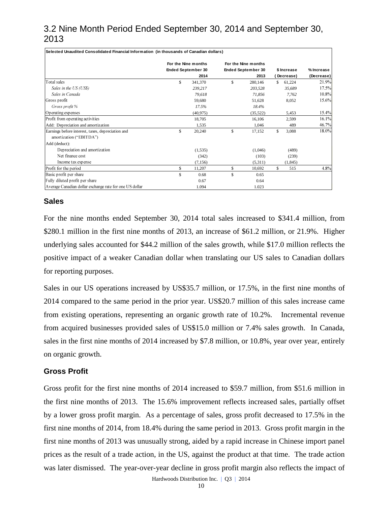# 3.2 Nine Month Period Ended September 30, 2014 and September 30, 2013

| Selected Unaudited Consolidated Financial Information (in thousands of Canadian dollars) |              |                           |              |                           |             |           |            |
|------------------------------------------------------------------------------------------|--------------|---------------------------|--------------|---------------------------|-------------|-----------|------------|
|                                                                                          |              | For the Nine months       |              | For the Nine months       |             |           |            |
|                                                                                          |              | <b>Ended September 30</b> |              | <b>Ended September 30</b> | \$ Increase |           | % Increase |
|                                                                                          |              | 2014                      |              | 2013                      |             | Decrease) | (Decrease) |
| Total sales                                                                              | \$           | 341,370                   | \$           | 280,146                   | S.          | 61,224    | 21.9%      |
| Sales in the US (US\$)                                                                   |              | 239,217                   |              | 203,528                   |             | 35,689    | 17.5%      |
| Sales in Canada                                                                          |              | 79,618                    |              | 71,856                    |             | 7.762     | $10.8\%$   |
| Gross profit                                                                             |              | 59,680                    |              | 51,628                    |             | 8,052     | 15.6%      |
| Gross profit %                                                                           |              | 17.5%                     |              | 18.4%                     |             |           |            |
| Operating expenses                                                                       |              | (40.975)                  |              | (35, 522)                 |             | 5,453     | 15.4%      |
| Profit from operating activities                                                         |              | 18,705                    |              | 16,106                    |             | 2,599     | $16.1\%$   |
| Add: Depreciation and amortization                                                       |              | 1,535                     |              | 1.046                     |             | 489       | 46.7%      |
| Earnings before interest, taxes, depreciation and                                        | $\mathbb{S}$ | 20,240                    | $\mathbb{S}$ | 17,152                    | \$          | 3,088     | 18.0%      |
| amortization ("EBITDA")                                                                  |              |                           |              |                           |             |           |            |
| Add (deduct):                                                                            |              |                           |              |                           |             |           |            |
| Depreciation and amortization                                                            |              | (1, 535)                  |              | (1,046)                   |             | (489)     |            |
| Net finance cost                                                                         |              | (342)                     |              | (103)                     |             | (239)     |            |
| Income tax expense                                                                       |              | (7.156)                   |              | (5,311)                   |             | (1, 845)  |            |
| Profit for the period                                                                    | \$           | 11,207                    | \$           | 10,692                    | \$          | 515       | 4.8%       |
| Basic profit per share                                                                   | \$           | 0.68                      | \$           | 0.65                      |             |           |            |
| Fully diluted profit per share                                                           |              | 0.67                      |              | 0.64                      |             |           |            |
| Average Canadian dollar exchange rate for one US dollar                                  |              | 1.094                     |              | 1.023                     |             |           |            |

### **Sales**

For the nine months ended September 30, 2014 total sales increased to \$341.4 million, from \$280.1 million in the first nine months of 2013, an increase of \$61.2 million, or 21.9%. Higher underlying sales accounted for \$44.2 million of the sales growth, while \$17.0 million reflects the positive impact of a weaker Canadian dollar when translating our US sales to Canadian dollars for reporting purposes.

Sales in our US operations increased by US\$35.7 million, or 17.5%, in the first nine months of 2014 compared to the same period in the prior year. US\$20.7 million of this sales increase came from existing operations, representing an organic growth rate of 10.2%. Incremental revenue from acquired businesses provided sales of US\$15.0 million or 7.4% sales growth. In Canada, sales in the first nine months of 2014 increased by \$7.8 million, or 10.8%, year over year, entirely on organic growth.

### **Gross Profit**

Gross profit for the first nine months of 2014 increased to \$59.7 million, from \$51.6 million in the first nine months of 2013. The 15.6% improvement reflects increased sales, partially offset by a lower gross profit margin. As a percentage of sales, gross profit decreased to 17.5% in the first nine months of 2014, from 18.4% during the same period in 2013. Gross profit margin in the first nine months of 2013 was unusually strong, aided by a rapid increase in Chinese import panel prices as the result of a trade action, in the US, against the product at that time. The trade action was later dismissed. The year-over-year decline in gross profit margin also reflects the impact of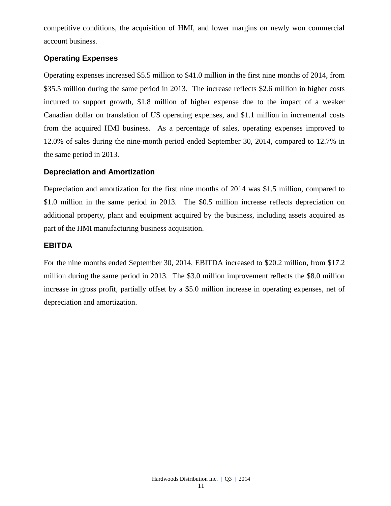competitive conditions, the acquisition of HMI, and lower margins on newly won commercial account business.

### **Operating Expenses**

Operating expenses increased \$5.5 million to \$41.0 million in the first nine months of 2014, from \$35.5 million during the same period in 2013. The increase reflects \$2.6 million in higher costs incurred to support growth, \$1.8 million of higher expense due to the impact of a weaker Canadian dollar on translation of US operating expenses, and \$1.1 million in incremental costs from the acquired HMI business. As a percentage of sales, operating expenses improved to 12.0% of sales during the nine-month period ended September 30, 2014, compared to 12.7% in the same period in 2013.

### **Depreciation and Amortization**

Depreciation and amortization for the first nine months of 2014 was \$1.5 million, compared to \$1.0 million in the same period in 2013. The \$0.5 million increase reflects depreciation on additional property, plant and equipment acquired by the business, including assets acquired as part of the HMI manufacturing business acquisition.

### **EBITDA**

For the nine months ended September 30, 2014, EBITDA increased to \$20.2 million, from \$17.2 million during the same period in 2013. The \$3.0 million improvement reflects the \$8.0 million increase in gross profit, partially offset by a \$5.0 million increase in operating expenses, net of depreciation and amortization.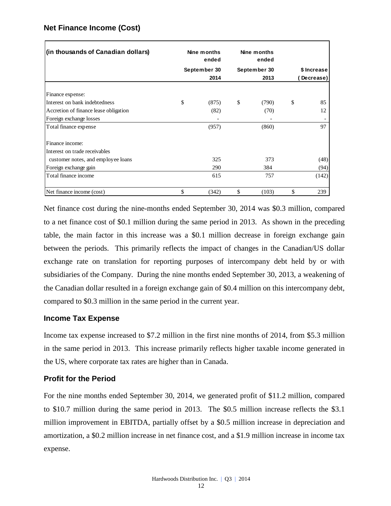| (in thousands of Canadian dollars)    | Nine months<br>ended | Nine months<br>ended |             |           |  |
|---------------------------------------|----------------------|----------------------|-------------|-----------|--|
|                                       | September 30         | September 30         | \$ Increase |           |  |
|                                       | 2014                 | 2013                 |             | Decrease) |  |
| Finance expense:                      |                      |                      |             |           |  |
| Interest on bank indebtedness         | \$<br>(875)          | \$<br>(790)          | \$          | 85        |  |
| Accretion of finance lease obligation | (82)                 | (70)                 |             | 12        |  |
| Foreign exchange losses               |                      |                      |             |           |  |
| Total finance expense                 | (957)                | (860)                |             | 97        |  |
| Finance income:                       |                      |                      |             |           |  |
| Interest on trade receivables         |                      |                      |             |           |  |
| customer notes, and employee loans    | 325                  | 373                  |             | (48)      |  |
| Foreign exchange gain                 | 290                  | 384                  |             | (94)      |  |
| Total finance income                  | 615                  | 757                  |             | (142)     |  |
| Net finance income (cost)             | \$<br>(342)          | \$<br>(103)          | \$          | 239       |  |

### **Net Finance Income (Cost)**

Net finance cost during the nine-months ended September 30, 2014 was \$0.3 million, compared to a net finance cost of \$0.1 million during the same period in 2013. As shown in the preceding table, the main factor in this increase was a \$0.1 million decrease in foreign exchange gain between the periods. This primarily reflects the impact of changes in the Canadian/US dollar exchange rate on translation for reporting purposes of intercompany debt held by or with subsidiaries of the Company. During the nine months ended September 30, 2013, a weakening of the Canadian dollar resulted in a foreign exchange gain of \$0.4 million on this intercompany debt, compared to \$0.3 million in the same period in the current year.

### **Income Tax Expense**

Income tax expense increased to \$7.2 million in the first nine months of 2014, from \$5.3 million in the same period in 2013. This increase primarily reflects higher taxable income generated in the US, where corporate tax rates are higher than in Canada.

### **Profit for the Period**

For the nine months ended September 30, 2014, we generated profit of \$11.2 million, compared to \$10.7 million during the same period in 2013. The \$0.5 million increase reflects the \$3.1 million improvement in EBITDA, partially offset by a \$0.5 million increase in depreciation and amortization, a \$0.2 million increase in net finance cost, and a \$1.9 million increase in income tax expense.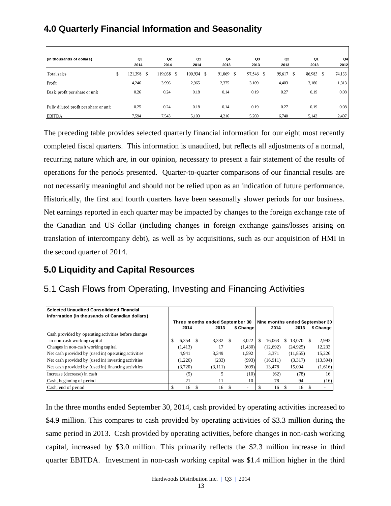# **4.0 Quarterly Financial Information and Seasonality**

| (in thousands of dollars)              | Q3            |   | Q <sub>2</sub> | Q1            |     | Q4     | Q3              | Q2     |   | Q1     | Q4           |
|----------------------------------------|---------------|---|----------------|---------------|-----|--------|-----------------|--------|---|--------|--------------|
|                                        | 2014          |   | 2014           | 2014          |     | 2013   | 2013            | 2013   |   | 2013   | 2012         |
| Total sales                            | \$<br>121,398 | ъ | 119,038        | \$<br>100,934 | -\$ | 91,069 | \$<br>97,546 \$ | 95,617 | S | 86,983 | 74,133<br>\$ |
| Profit                                 | 4,246         |   | 3,996          | 2,965         |     | 2,375  | 3,109           | 4,403  |   | 3,180  | 1,313        |
| Basic profit per share or unit         | 0.26          |   | 0.24           | 0.18          |     | 0.14   | 0.19            | 0.27   |   | 0.19   | 0.08         |
| Fully diluted profit per share or unit | 0.25          |   | 0.24           | 0.18          |     | 0.14   | 0.19            | 0.27   |   | 0.19   | 0.08         |
| <b>EBITDA</b>                          | 7,594         |   | 7,543          | 5,103         |     | 4,216  | 5,269           | 6,740  |   | 5,143  | 2,407        |

The preceding table provides selected quarterly financial information for our eight most recently completed fiscal quarters. This information is unaudited, but reflects all adjustments of a normal, recurring nature which are, in our opinion, necessary to present a fair statement of the results of operations for the periods presented. Quarter-to-quarter comparisons of our financial results are not necessarily meaningful and should not be relied upon as an indication of future performance. Historically, the first and fourth quarters have been seasonally slower periods for our business. Net earnings reported in each quarter may be impacted by changes to the foreign exchange rate of the Canadian and US dollar (including changes in foreign exchange gains/losses arising on translation of intercompany debt), as well as by acquisitions, such as our acquisition of HMI in the second quarter of 2014.

# **5.0 Liquidity and Capital Resources**

# 5.1 Cash Flows from Operating, Investing and Financing Activities

| Selected Unaudited Consolidated Financial<br>Information (in thousands of Canadian dollars) |          |                                 |                          |                                |           |           |
|---------------------------------------------------------------------------------------------|----------|---------------------------------|--------------------------|--------------------------------|-----------|-----------|
|                                                                                             |          | Three months ended September 30 |                          | Nine months ended September 30 |           |           |
|                                                                                             | 2014     | 2013                            | \$ Change                | 2014                           | 2013      | \$ Change |
| Cash provided by operating activities before changes                                        |          |                                 |                          |                                |           |           |
| in non-cash working capital                                                                 | 6,354    | 3.332                           | 3,022                    | 16.063                         | 13.070    | 2,993     |
| Changes in non-cash working capital                                                         | (1, 413) | 17                              | (1,430)                  | (12,692)                       | (24, 925) | 12,233    |
| Net cash provided by (used in) operating activities                                         | 4.941    | 3.349                           | 1,592                    | 3.371                          | (11, 855) | 15,226    |
| Net cash provided by (used in) investing activities                                         | (1,226)  | (233)                           | (993)                    | (16,911)                       | (3,317)   | (13, 594) |
| Net cash provided by (used in) financing activities                                         | (3,720)  | (3,111)                         | (609)                    | 13,478                         | 15.094    | (1,616)   |
| Increase (decrease) in cash                                                                 | (5)      |                                 | (10)                     | (62)                           | (78)      | 16        |
| Cash, beginning of period                                                                   | 21       | 11                              | 10                       | 78                             | 94        | (16)      |
| Cash, end of period                                                                         | 16       | 16                              | $\overline{\phantom{a}}$ | 16                             | 16        |           |

In the three months ended September 30, 2014, cash provided by operating activities increased to \$4.9 million. This compares to cash provided by operating activities of \$3.3 million during the same period in 2013. Cash provided by operating activities, before changes in non-cash working capital, increased by \$3.0 million. This primarily reflects the \$2.3 million increase in third quarter EBITDA. Investment in non-cash working capital was \$1.4 million higher in the third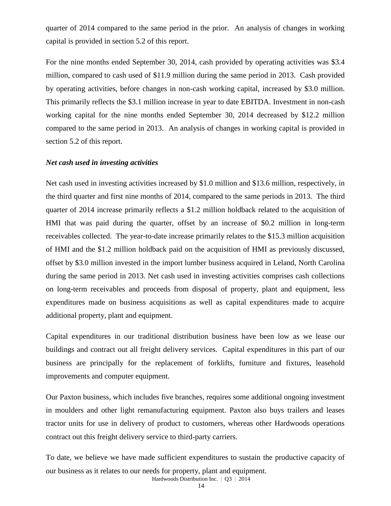quarter of 2014 compared to the same period in the prior. An analysis of changes in working capital is provided in section 5.2 of this report.

For the nine months ended September 30, 2014, cash provided by operating activities was \$3.4 million, compared to cash used of \$11.9 million during the same period in 2013. Cash provided by operating activities, before changes in non-cash working capital, increased by \$3.0 million. This primarily reflects the \$3.1 million increase in year to date EBITDA. Investment in non-cash working capital for the nine months ended September 30, 2014 decreased by \$12.2 million compared to the same period in 2013. An analysis of changes in working capital is provided in section 5.2 of this report.

#### *Net cash used in investing activities*

Net cash used in investing activities increased by \$1.0 million and \$13.6 million, respectively, in the third quarter and first nine months of 2014, compared to the same periods in 2013. The third quarter of 2014 increase primarily reflects a \$1.2 million holdback related to the acquisition of HMI that was paid during the quarter, offset by an increase of \$0.2 million in long-term receivables collected. The year-to-date increase primarily relates to the \$15.3 million acquisition of HMI and the \$1.2 million holdback paid on the acquisition of HMI as previously discussed, offset by \$3.0 million invested in the import lumber business acquired in Leland, North Carolina during the same period in 2013. Net cash used in investing activities comprises cash collections on long-term receivables and proceeds from disposal of property, plant and equipment, less expenditures made on business acquisitions as well as capital expenditures made to acquire additional property, plant and equipment.

Capital expenditures in our traditional distribution business have been low as we lease our buildings and contract out all freight delivery services. Capital expenditures in this part of our business are principally for the replacement of forklifts, furniture and fixtures, leasehold improvements and computer equipment.

Our Paxton business, which includes five branches, requires some additional ongoing investment in moulders and other light remanufacturing equipment. Paxton also buys trailers and leases tractor units for use in delivery of product to customers, whereas other Hardwoods operations contract out this freight delivery service to third-party carriers.

Hardwoods Distribution Inc. | Q3 | 2014 To date, we believe we have made sufficient expenditures to sustain the productive capacity of our business as it relates to our needs for property, plant and equipment.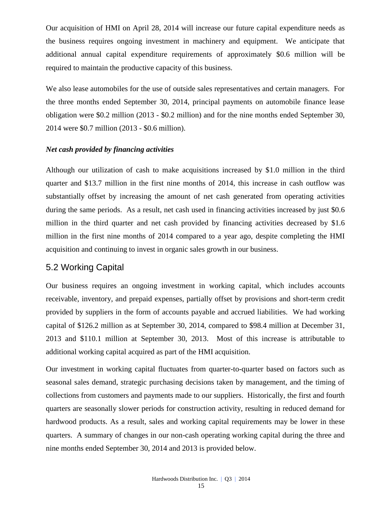Our acquisition of HMI on April 28, 2014 will increase our future capital expenditure needs as the business requires ongoing investment in machinery and equipment. We anticipate that additional annual capital expenditure requirements of approximately \$0.6 million will be required to maintain the productive capacity of this business.

We also lease automobiles for the use of outside sales representatives and certain managers. For the three months ended September 30, 2014, principal payments on automobile finance lease obligation were \$0.2 million (2013 - \$0.2 million) and for the nine months ended September 30, 2014 were \$0.7 million (2013 - \$0.6 million).

### *Net cash provided by financing activities*

Although our utilization of cash to make acquisitions increased by \$1.0 million in the third quarter and \$13.7 million in the first nine months of 2014, this increase in cash outflow was substantially offset by increasing the amount of net cash generated from operating activities during the same periods. As a result, net cash used in financing activities increased by just \$0.6 million in the third quarter and net cash provided by financing activities decreased by \$1.6 million in the first nine months of 2014 compared to a year ago, despite completing the HMI acquisition and continuing to invest in organic sales growth in our business.

## 5.2 Working Capital

Our business requires an ongoing investment in working capital, which includes accounts receivable, inventory, and prepaid expenses, partially offset by provisions and short-term credit provided by suppliers in the form of accounts payable and accrued liabilities. We had working capital of \$126.2 million as at September 30, 2014, compared to \$98.4 million at December 31, 2013 and \$110.1 million at September 30, 2013. Most of this increase is attributable to additional working capital acquired as part of the HMI acquisition.

Our investment in working capital fluctuates from quarter-to-quarter based on factors such as seasonal sales demand, strategic purchasing decisions taken by management, and the timing of collections from customers and payments made to our suppliers. Historically, the first and fourth quarters are seasonally slower periods for construction activity, resulting in reduced demand for hardwood products. As a result, sales and working capital requirements may be lower in these quarters. A summary of changes in our non-cash operating working capital during the three and nine months ended September 30, 2014 and 2013 is provided below.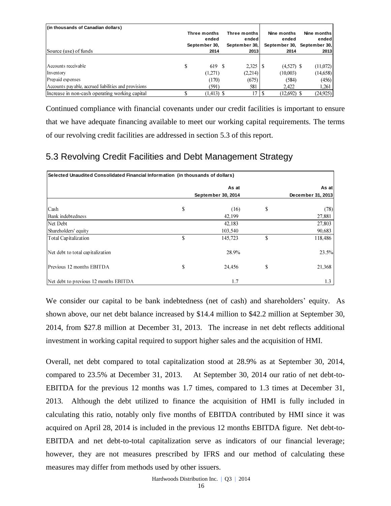| (in thousands of Canadian dollars)                   |                       |                       |                                     |             |
|------------------------------------------------------|-----------------------|-----------------------|-------------------------------------|-------------|
|                                                      | Three months          | Three months          | Nine months                         | Nine months |
|                                                      | ended                 | endedl                | ended                               | ended       |
| Source (use) of funds                                | September 30,<br>2014 | September 30,<br>2013 | September 30, September 30,<br>2014 | 2013        |
|                                                      |                       |                       |                                     |             |
| Accounts receivable                                  | \$<br>619 \$          | 2.325                 | $(4,527)$ \$                        | (11,072)    |
| Inventory                                            | (1,271)               | (2,214)               | (10,003)                            | (14,658)    |
| Prepaid expenses                                     | (170)                 | (675)                 | (584)                               | (456)       |
| Accounts payable, accrued liabilities and provisions | (591)                 | 581                   | 2.422                               | 1,261       |
| Increase in non-cash operating working capital       | $(1,413)$ \$          | 17                    | $(12.692)$ \$                       | (24, 925)   |

Continued compliance with financial covenants under our credit facilities is important to ensure that we have adequate financing available to meet our working capital requirements. The terms of our revolving credit facilities are addressed in section 5.3 of this report.

# 5.3 Revolving Credit Facilities and Debt Management Strategy

| Selected Unaudited Consolidated Financial Information (in thousands of dollars) |    |                    |    |                   |  |  |  |
|---------------------------------------------------------------------------------|----|--------------------|----|-------------------|--|--|--|
|                                                                                 |    | As at              |    | As at             |  |  |  |
|                                                                                 |    | September 30, 2014 |    | December 31, 2013 |  |  |  |
| Cash                                                                            | \$ | (16)               | \$ | (78)              |  |  |  |
| Bank indebtedness                                                               |    | 42,199             |    | 27,881            |  |  |  |
| Net Debt                                                                        |    | 42,183             |    | 27,803            |  |  |  |
| Shareholders' equity                                                            |    | 103,540            |    | 90,683            |  |  |  |
| Total Capitalization                                                            | \$ | 145,723            | \$ | 118,486           |  |  |  |
| Net debt to total capitalization                                                |    | 28.9%              |    | 23.5%             |  |  |  |
| Previous 12 months EBITDA                                                       | \$ | 24.456             | \$ | 21,368            |  |  |  |
| Net debt to previous 12 months EBITDA                                           |    | 1.7                |    | 1.3               |  |  |  |

We consider our capital to be bank indebtedness (net of cash) and shareholders' equity. As shown above, our net debt balance increased by \$14.4 million to \$42.2 million at September 30, 2014, from \$27.8 million at December 31, 2013. The increase in net debt reflects additional investment in working capital required to support higher sales and the acquisition of HMI.

Overall, net debt compared to total capitalization stood at 28.9% as at September 30, 2014, compared to 23.5% at December 31, 2013. At September 30, 2014 our ratio of net debt-to-EBITDA for the previous 12 months was 1.7 times, compared to 1.3 times at December 31, 2013. Although the debt utilized to finance the acquisition of HMI is fully included in calculating this ratio, notably only five months of EBITDA contributed by HMI since it was acquired on April 28, 2014 is included in the previous 12 months EBITDA figure. Net debt-to-EBITDA and net debt-to-total capitalization serve as indicators of our financial leverage; however, they are not measures prescribed by IFRS and our method of calculating these measures may differ from methods used by other issuers.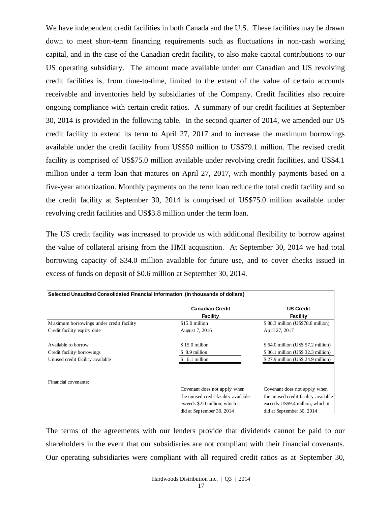We have independent credit facilities in both Canada and the U.S. These facilities may be drawn down to meet short-term financing requirements such as fluctuations in non-cash working capital, and in the case of the Canadian credit facility, to also make capital contributions to our US operating subsidiary. The amount made available under our Canadian and US revolving credit facilities is, from time-to-time, limited to the extent of the value of certain accounts receivable and inventories held by subsidiaries of the Company. Credit facilities also require ongoing compliance with certain credit ratios. A summary of our credit facilities at September 30, 2014 is provided in the following table. In the second quarter of 2014, we amended our US credit facility to extend its term to April 27, 2017 and to increase the maximum borrowings available under the credit facility from US\$50 million to US\$79.1 million. The revised credit facility is comprised of US\$75.0 million available under revolving credit facilities, and US\$4.1 million under a term loan that matures on April 27, 2017, with monthly payments based on a five-year amortization. Monthly payments on the term loan reduce the total credit facility and so the credit facility at September 30, 2014 is comprised of US\$75.0 million available under revolving credit facilities and US\$3.8 million under the term loan.

The US credit facility was increased to provide us with additional flexibility to borrow against the value of collateral arising from the HMI acquisition. At September 30, 2014 we had total borrowing capacity of \$34.0 million available for future use, and to cover checks issued in excess of funds on deposit of \$0.6 million at September 30, 2014.

| Selected Unaudited Consolidated Financial Information (in thousands of dollars) |                                      |                                      |  |  |  |  |  |
|---------------------------------------------------------------------------------|--------------------------------------|--------------------------------------|--|--|--|--|--|
|                                                                                 | <b>Canadian Credit</b><br>Facility   | <b>US Credit</b><br>Facility         |  |  |  |  |  |
| Maximum borrowings under credit facility                                        | \$15.0 million                       | \$88.3 million (US\$78.8 million)    |  |  |  |  |  |
| Credit facility expiry date                                                     | August 7, 2016                       | April 27, 2017                       |  |  |  |  |  |
| Available to borrow                                                             | \$15.0 million                       | \$64.0 million (US\$ 57.2 million)   |  |  |  |  |  |
| Credit facility borrowings                                                      | \$ 8.9 million                       | \$36.1 million (US\$ 32.3 million)   |  |  |  |  |  |
| Unused credit facility available                                                | 6.1 million                          | $$27.9$ million (US\$ 24.9 million)  |  |  |  |  |  |
|                                                                                 |                                      |                                      |  |  |  |  |  |
| Financial covenants:                                                            |                                      |                                      |  |  |  |  |  |
|                                                                                 | Covenant does not apply when         | Covenant does not apply when         |  |  |  |  |  |
|                                                                                 | the unused credit facility available | the unused credit facility available |  |  |  |  |  |
|                                                                                 | exceeds \$2.0 million, which it      | exceeds US\$9.4 million, which it    |  |  |  |  |  |
|                                                                                 | did at September 30, 2014            | did at September 30, 2014            |  |  |  |  |  |

The terms of the agreements with our lenders provide that dividends cannot be paid to our shareholders in the event that our subsidiaries are not compliant with their financial covenants. Our operating subsidiaries were compliant with all required credit ratios as at September 30,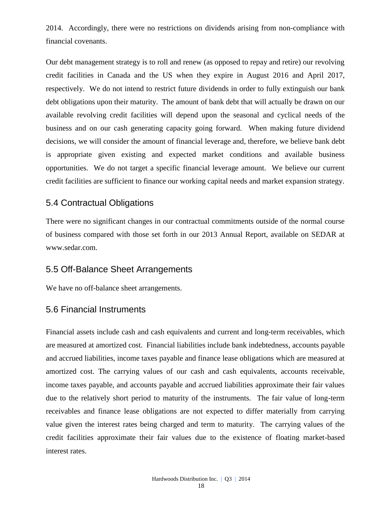2014. Accordingly, there were no restrictions on dividends arising from non-compliance with financial covenants.

Our debt management strategy is to roll and renew (as opposed to repay and retire) our revolving credit facilities in Canada and the US when they expire in August 2016 and April 2017, respectively. We do not intend to restrict future dividends in order to fully extinguish our bank debt obligations upon their maturity. The amount of bank debt that will actually be drawn on our available revolving credit facilities will depend upon the seasonal and cyclical needs of the business and on our cash generating capacity going forward. When making future dividend decisions, we will consider the amount of financial leverage and, therefore, we believe bank debt is appropriate given existing and expected market conditions and available business opportunities. We do not target a specific financial leverage amount. We believe our current credit facilities are sufficient to finance our working capital needs and market expansion strategy.

## 5.4 Contractual Obligations

There were no significant changes in our contractual commitments outside of the normal course of business compared with those set forth in our 2013 Annual Report, available on SEDAR at www.sedar.com.

## 5.5 Off-Balance Sheet Arrangements

We have no off-balance sheet arrangements.

## 5.6 Financial Instruments

Financial assets include cash and cash equivalents and current and long-term receivables, which are measured at amortized cost. Financial liabilities include bank indebtedness, accounts payable and accrued liabilities, income taxes payable and finance lease obligations which are measured at amortized cost. The carrying values of our cash and cash equivalents, accounts receivable, income taxes payable, and accounts payable and accrued liabilities approximate their fair values due to the relatively short period to maturity of the instruments. The fair value of long-term receivables and finance lease obligations are not expected to differ materially from carrying value given the interest rates being charged and term to maturity. The carrying values of the credit facilities approximate their fair values due to the existence of floating market-based interest rates.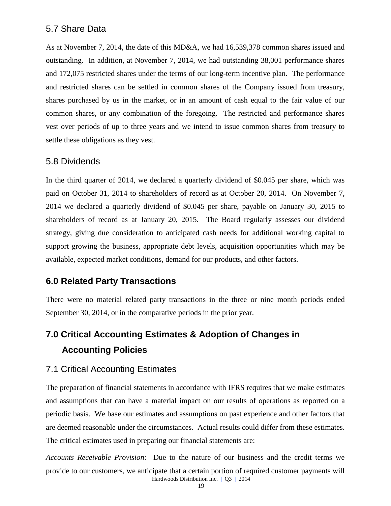## 5.7 Share Data

As at November 7, 2014, the date of this MD&A, we had 16,539,378 common shares issued and outstanding. In addition, at November 7, 2014, we had outstanding 38,001 performance shares and 172,075 restricted shares under the terms of our long-term incentive plan. The performance and restricted shares can be settled in common shares of the Company issued from treasury, shares purchased by us in the market, or in an amount of cash equal to the fair value of our common shares, or any combination of the foregoing. The restricted and performance shares vest over periods of up to three years and we intend to issue common shares from treasury to settle these obligations as they vest.

### 5.8 Dividends

In the third quarter of 2014, we declared a quarterly dividend of \$0.045 per share, which was paid on October 31, 2014 to shareholders of record as at October 20, 2014. On November 7, 2014 we declared a quarterly dividend of \$0.045 per share, payable on January 30, 2015 to shareholders of record as at January 20, 2015. The Board regularly assesses our dividend strategy, giving due consideration to anticipated cash needs for additional working capital to support growing the business, appropriate debt levels, acquisition opportunities which may be available, expected market conditions, demand for our products, and other factors.

# **6.0 Related Party Transactions**

There were no material related party transactions in the three or nine month periods ended September 30, 2014, or in the comparative periods in the prior year.

# **7.0 Critical Accounting Estimates & Adoption of Changes in Accounting Policies**

## 7.1 Critical Accounting Estimates

The preparation of financial statements in accordance with IFRS requires that we make estimates and assumptions that can have a material impact on our results of operations as reported on a periodic basis. We base our estimates and assumptions on past experience and other factors that are deemed reasonable under the circumstances. Actual results could differ from these estimates. The critical estimates used in preparing our financial statements are:

Hardwoods Distribution Inc. | Q3 | 2014 *Accounts Receivable Provision*: Due to the nature of our business and the credit terms we provide to our customers, we anticipate that a certain portion of required customer payments will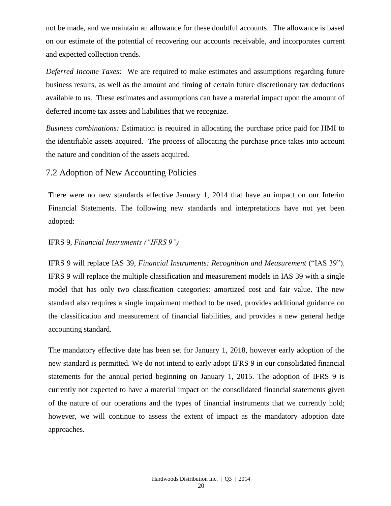not be made, and we maintain an allowance for these doubtful accounts. The allowance is based on our estimate of the potential of recovering our accounts receivable, and incorporates current and expected collection trends.

*Deferred Income Taxes:* We are required to make estimates and assumptions regarding future business results, as well as the amount and timing of certain future discretionary tax deductions available to us. These estimates and assumptions can have a material impact upon the amount of deferred income tax assets and liabilities that we recognize.

*Business combinations:* Estimation is required in allocating the purchase price paid for HMI to the identifiable assets acquired. The process of allocating the purchase price takes into account the nature and condition of the assets acquired.

### 7.2 Adoption of New Accounting Policies

There were no new standards effective January 1, 2014 that have an impact on our Interim Financial Statements. The following new standards and interpretations have not yet been adopted:

### IFRS 9, *Financial Instruments ("IFRS 9")*

IFRS 9 will replace IAS 39, *Financial Instruments: Recognition and Measurement* ("IAS 39"). IFRS 9 will replace the multiple classification and measurement models in IAS 39 with a single model that has only two classification categories: amortized cost and fair value. The new standard also requires a single impairment method to be used, provides additional guidance on the classification and measurement of financial liabilities, and provides a new general hedge accounting standard.

The mandatory effective date has been set for January 1, 2018, however early adoption of the new standard is permitted. We do not intend to early adopt IFRS 9 in our consolidated financial statements for the annual period beginning on January 1, 2015. The adoption of IFRS 9 is currently not expected to have a material impact on the consolidated financial statements given of the nature of our operations and the types of financial instruments that we currently hold; however, we will continue to assess the extent of impact as the mandatory adoption date approaches.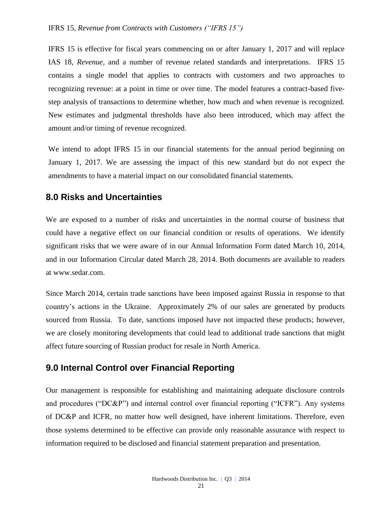#### IFRS 15, *Revenue from Contracts with Customers ("IFRS 15")*

IFRS 15 is effective for fiscal years commencing on or after January 1, 2017 and will replace IAS 18, *Revenue,* and a number of revenue related standards and interpretations. IFRS 15 contains a single model that applies to contracts with customers and two approaches to recognizing revenue: at a point in time or over time. The model features a contract-based fivestep analysis of transactions to determine whether, how much and when revenue is recognized. New estimates and judgmental thresholds have also been introduced, which may affect the amount and/or timing of revenue recognized.

We intend to adopt IFRS 15 in our financial statements for the annual period beginning on January 1, 2017. We are assessing the impact of this new standard but do not expect the amendments to have a material impact on our consolidated financial statements.

## **8.0 Risks and Uncertainties**

We are exposed to a number of risks and uncertainties in the normal course of business that could have a negative effect on our financial condition or results of operations. We identify significant risks that we were aware of in our Annual Information Form dated March 10, 2014, and in our Information Circular dated March 28, 2014. Both documents are available to readers at [www.sedar.com.](http://www.sedar.com/)

Since March 2014, certain trade sanctions have been imposed against Russia in response to that country's actions in the Ukraine. Approximately 2% of our sales are generated by products sourced from Russia. To date, sanctions imposed have not impacted these products; however, we are closely monitoring developments that could lead to additional trade sanctions that might affect future sourcing of Russian product for resale in North America.

## **9.0 Internal Control over Financial Reporting**

Our management is responsible for establishing and maintaining adequate disclosure controls and procedures ("DC&P") and internal control over financial reporting ("ICFR"). Any systems of DC&P and ICFR, no matter how well designed, have inherent limitations. Therefore, even those systems determined to be effective can provide only reasonable assurance with respect to information required to be disclosed and financial statement preparation and presentation.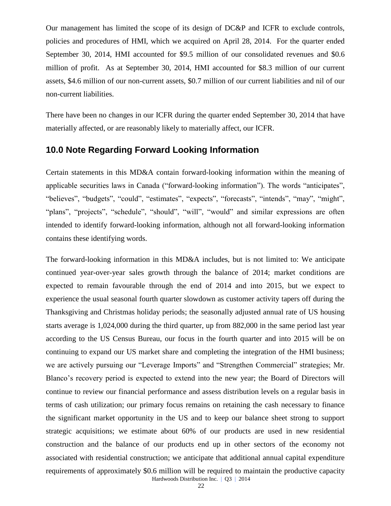Our management has limited the scope of its design of DC&P and ICFR to exclude controls, policies and procedures of HMI, which we acquired on April 28, 2014. For the quarter ended September 30, 2014, HMI accounted for \$9.5 million of our consolidated revenues and \$0.6 million of profit. As at September 30, 2014, HMI accounted for \$8.3 million of our current assets, \$4.6 million of our non-current assets, \$0.7 million of our current liabilities and nil of our non-current liabilities.

There have been no changes in our ICFR during the quarter ended September 30, 2014 that have materially affected, or are reasonably likely to materially affect, our ICFR.

# **10.0 Note Regarding Forward Looking Information**

Certain statements in this MD&A contain forward-looking information within the meaning of applicable securities laws in Canada ("forward-looking information"). The words "anticipates", "believes", "budgets", "could", "estimates", "expects", "forecasts", "intends", "may", "might", "plans", "projects", "schedule", "should", "will", "would" and similar expressions are often intended to identify forward-looking information, although not all forward-looking information contains these identifying words.

Hardwoods Distribution Inc. | Q3 | 2014 The forward-looking information in this MD&A includes, but is not limited to: We anticipate continued year-over-year sales growth through the balance of 2014; market conditions are expected to remain favourable through the end of 2014 and into 2015, but we expect to experience the usual seasonal fourth quarter slowdown as customer activity tapers off during the Thanksgiving and Christmas holiday periods; the seasonally adjusted annual rate of US housing starts average is 1,024,000 during the third quarter, up from 882,000 in the same period last year according to the US Census Bureau, our focus in the fourth quarter and into 2015 will be on continuing to expand our US market share and completing the integration of the HMI business; we are actively pursuing our "Leverage Imports" and "Strengthen Commercial" strategies; Mr. Blanco's recovery period is expected to extend into the new year; the Board of Directors will continue to review our financial performance and assess distribution levels on a regular basis in terms of cash utilization; our primary focus remains on retaining the cash necessary to finance the significant market opportunity in the US and to keep our balance sheet strong to support strategic acquisitions; we estimate about 60% of our products are used in new residential construction and the balance of our products end up in other sectors of the economy not associated with residential construction; we anticipate that additional annual capital expenditure requirements of approximately \$0.6 million will be required to maintain the productive capacity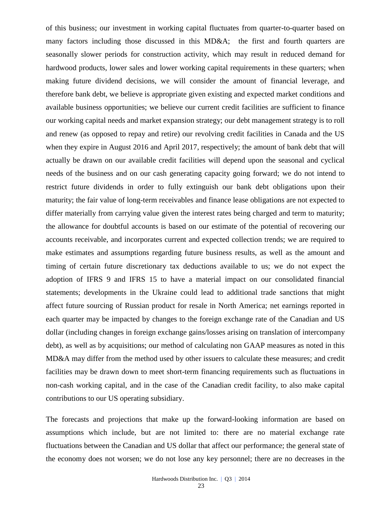of this business; our investment in working capital fluctuates from quarter-to-quarter based on many factors including those discussed in this MD&A; the first and fourth quarters are seasonally slower periods for construction activity, which may result in reduced demand for hardwood products, lower sales and lower working capital requirements in these quarters; when making future dividend decisions, we will consider the amount of financial leverage, and therefore bank debt, we believe is appropriate given existing and expected market conditions and available business opportunities; we believe our current credit facilities are sufficient to finance our working capital needs and market expansion strategy; our debt management strategy is to roll and renew (as opposed to repay and retire) our revolving credit facilities in Canada and the US when they expire in August 2016 and April 2017, respectively; the amount of bank debt that will actually be drawn on our available credit facilities will depend upon the seasonal and cyclical needs of the business and on our cash generating capacity going forward; we do not intend to restrict future dividends in order to fully extinguish our bank debt obligations upon their maturity; the fair value of long-term receivables and finance lease obligations are not expected to differ materially from carrying value given the interest rates being charged and term to maturity; the allowance for doubtful accounts is based on our estimate of the potential of recovering our accounts receivable, and incorporates current and expected collection trends; we are required to make estimates and assumptions regarding future business results, as well as the amount and timing of certain future discretionary tax deductions available to us; we do not expect the adoption of IFRS 9 and IFRS 15 to have a material impact on our consolidated financial statements; developments in the Ukraine could lead to additional trade sanctions that might affect future sourcing of Russian product for resale in North America; net earnings reported in each quarter may be impacted by changes to the foreign exchange rate of the Canadian and US dollar (including changes in foreign exchange gains/losses arising on translation of intercompany debt), as well as by acquisitions; our method of calculating non GAAP measures as noted in this MD&A may differ from the method used by other issuers to calculate these measures; and credit facilities may be drawn down to meet short-term financing requirements such as fluctuations in non-cash working capital, and in the case of the Canadian credit facility, to also make capital contributions to our US operating subsidiary.

The forecasts and projections that make up the forward-looking information are based on assumptions which include, but are not limited to: there are no material exchange rate fluctuations between the Canadian and US dollar that affect our performance; the general state of the economy does not worsen; we do not lose any key personnel; there are no decreases in the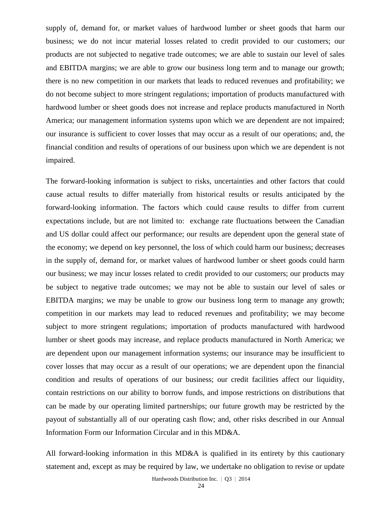supply of, demand for, or market values of hardwood lumber or sheet goods that harm our business; we do not incur material losses related to credit provided to our customers; our products are not subjected to negative trade outcomes; we are able to sustain our level of sales and EBITDA margins; we are able to grow our business long term and to manage our growth; there is no new competition in our markets that leads to reduced revenues and profitability; we do not become subject to more stringent regulations; importation of products manufactured with hardwood lumber or sheet goods does not increase and replace products manufactured in North America; our management information systems upon which we are dependent are not impaired; our insurance is sufficient to cover losses that may occur as a result of our operations; and, the financial condition and results of operations of our business upon which we are dependent is not impaired.

The forward-looking information is subject to risks, uncertainties and other factors that could cause actual results to differ materially from historical results or results anticipated by the forward-looking information. The factors which could cause results to differ from current expectations include, but are not limited to: exchange rate fluctuations between the Canadian and US dollar could affect our performance; our results are dependent upon the general state of the economy; we depend on key personnel, the loss of which could harm our business; decreases in the supply of, demand for, or market values of hardwood lumber or sheet goods could harm our business; we may incur losses related to credit provided to our customers; our products may be subject to negative trade outcomes; we may not be able to sustain our level of sales or EBITDA margins; we may be unable to grow our business long term to manage any growth; competition in our markets may lead to reduced revenues and profitability; we may become subject to more stringent regulations; importation of products manufactured with hardwood lumber or sheet goods may increase, and replace products manufactured in North America; we are dependent upon our management information systems; our insurance may be insufficient to cover losses that may occur as a result of our operations; we are dependent upon the financial condition and results of operations of our business; our credit facilities affect our liquidity, contain restrictions on our ability to borrow funds, and impose restrictions on distributions that can be made by our operating limited partnerships; our future growth may be restricted by the payout of substantially all of our operating cash flow; and, other risks described in our Annual Information Form our Information Circular and in this MD&A.

All forward-looking information in this MD&A is qualified in its entirety by this cautionary statement and, except as may be required by law, we undertake no obligation to revise or update